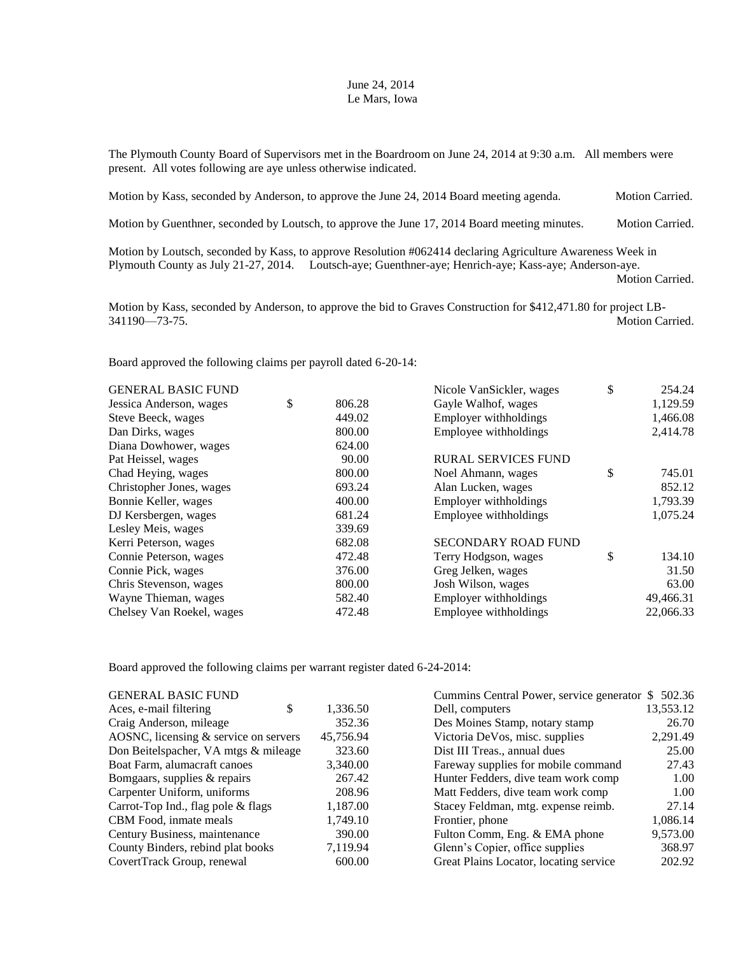## June 24, 2014 Le Mars, Iowa

The Plymouth County Board of Supervisors met in the Boardroom on June 24, 2014 at 9:30 a.m. All members were present. All votes following are aye unless otherwise indicated.

| Motion by Kass, seconded by Anderson, to approve the June 24, 2014 Board meeting agenda. | <b>Motion Carried.</b> |
|------------------------------------------------------------------------------------------|------------------------|
|                                                                                          |                        |

Motion by Guenthner, seconded by Loutsch, to approve the June 17, 2014 Board meeting minutes. Motion Carried.

Motion by Loutsch, seconded by Kass, to approve Resolution #062414 declaring Agriculture Awareness Week in Plymouth County as July 21-27, 2014. Loutsch-aye; Guenthner-aye; Henrich-aye; Kass-aye; Anderson-aye.

Motion Carried.

Motion by Kass, seconded by Anderson, to approve the bid to Graves Construction for \$412,471.80 for project LB-341190—73-75. Motion Carried.

Board approved the following claims per payroll dated 6-20-14:

| <b>GENERAL BASIC FUND</b> |              | Nicole VanSickler, wages   | \$<br>254.24 |
|---------------------------|--------------|----------------------------|--------------|
| Jessica Anderson, wages   | \$<br>806.28 | Gayle Walhof, wages        | 1,129.59     |
| Steve Beeck, wages        | 449.02       | Employer withholdings      | 1,466.08     |
| Dan Dirks, wages          | 800.00       | Employee withholdings      | 2,414.78     |
| Diana Dowhower, wages     | 624.00       |                            |              |
| Pat Heissel, wages        | 90.00        | <b>RURAL SERVICES FUND</b> |              |
| Chad Heying, wages        | 800.00       | Noel Ahmann, wages         | \$<br>745.01 |
| Christopher Jones, wages  | 693.24       | Alan Lucken, wages         | 852.12       |
| Bonnie Keller, wages      | 400.00       | Employer withholdings      | 1,793.39     |
| DJ Kersbergen, wages      | 681.24       | Employee withholdings      | 1,075.24     |
| Lesley Meis, wages        | 339.69       |                            |              |
| Kerri Peterson, wages     | 682.08       | <b>SECONDARY ROAD FUND</b> |              |
| Connie Peterson, wages    | 472.48       | Terry Hodgson, wages       | \$<br>134.10 |
| Connie Pick, wages        | 376.00       | Greg Jelken, wages         | 31.50        |
| Chris Stevenson, wages    | 800.00       | Josh Wilson, wages         | 63.00        |
| Wayne Thieman, wages      | 582.40       | Employer withholdings      | 49,466.31    |
| Chelsey Van Roekel, wages | 472.48       | Employee withholdings      | 22,066.33    |
|                           |              |                            |              |

Board approved the following claims per warrant register dated 6-24-2014:

| <b>GENERAL BASIC FUND</b>               |               | Cummins Central Power, service generator \$502.36 |           |
|-----------------------------------------|---------------|---------------------------------------------------|-----------|
| Aces, e-mail filtering                  | 1,336.50<br>S | Dell, computers                                   | 13,553.12 |
| Craig Anderson, mileage                 | 352.36        | Des Moines Stamp, notary stamp                    | 26.70     |
| AOSNC, licensing $&$ service on servers | 45,756.94     | Victoria DeVos, misc. supplies                    | 2,291.49  |
| Don Beitelspacher, VA mtgs & mileage    | 323.60        | Dist III Treas., annual dues                      | 25.00     |
| Boat Farm, alumacraft canoes            | 3,340.00      | Fareway supplies for mobile command               | 27.43     |
| Bomgaars, supplies & repairs            | 267.42        | Hunter Fedders, dive team work comp               | 1.00      |
| Carpenter Uniform, uniforms             | 208.96        | Matt Fedders, dive team work comp                 | 1.00      |
| Carrot-Top Ind., flag pole & flags      | 1,187.00      | Stacey Feldman, mtg. expense reimb.               | 27.14     |
| CBM Food, inmate meals                  | 1,749.10      | Frontier, phone                                   | 1,086.14  |
| Century Business, maintenance           | 390.00        | Fulton Comm, Eng. & EMA phone                     | 9,573.00  |
| County Binders, rebind plat books       | 7,119.94      | Glenn's Copier, office supplies                   | 368.97    |
| CovertTrack Group, renewal              | 600.00        | Great Plains Locator, locating service            | 202.92    |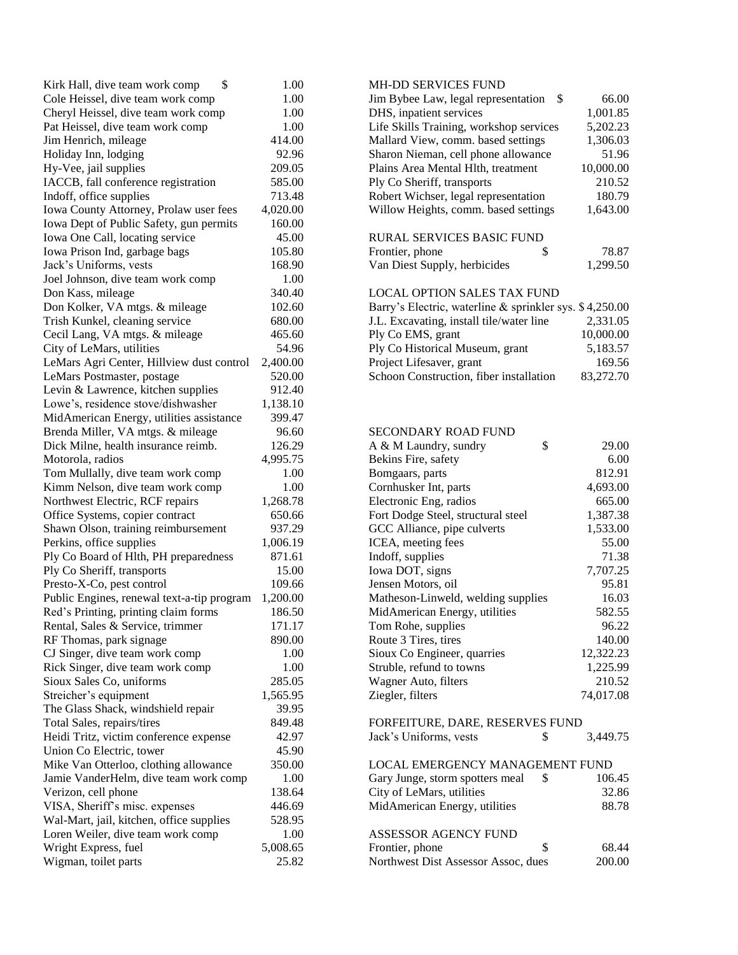| \$<br>Kirk Hall, dive team work comp       | 1.00     | <b>MH-DD SERVICES FUND</b>                              |           |
|--------------------------------------------|----------|---------------------------------------------------------|-----------|
| Cole Heissel, dive team work comp          | 1.00     | Jim Bybee Law, legal representation \$                  | 66.00     |
| Cheryl Heissel, dive team work comp        | 1.00     | DHS, inpatient services                                 | 1,001.85  |
| Pat Heissel, dive team work comp           | 1.00     | Life Skills Training, workshop services                 | 5,202.23  |
| Jim Henrich, mileage                       | 414.00   | Mallard View, comm. based settings                      | 1,306.03  |
| Holiday Inn, lodging                       | 92.96    | Sharon Nieman, cell phone allowance                     | 51.96     |
| Hy-Vee, jail supplies                      | 209.05   | Plains Area Mental Hlth, treatment                      | 10,000.00 |
| IACCB, fall conference registration        | 585.00   | Ply Co Sheriff, transports                              | 210.52    |
| Indoff, office supplies                    | 713.48   | Robert Wichser, legal representation                    | 180.79    |
| Iowa County Attorney, Prolaw user fees     | 4,020.00 | Willow Heights, comm. based settings                    | 1,643.00  |
| Iowa Dept of Public Safety, gun permits    | 160.00   |                                                         |           |
| Iowa One Call, locating service            | 45.00    | <b>RURAL SERVICES BASIC FUND</b>                        |           |
| Iowa Prison Ind, garbage bags              | 105.80   | \$<br>Frontier, phone                                   | 78.87     |
| Jack's Uniforms, vests                     | 168.90   | Van Diest Supply, herbicides                            | 1,299.50  |
| Joel Johnson, dive team work comp          | 1.00     |                                                         |           |
| Don Kass, mileage                          | 340.40   | <b>LOCAL OPTION SALES TAX FUND</b>                      |           |
| Don Kolker, VA mtgs. & mileage             | 102.60   | Barry's Electric, waterline & sprinkler sys. \$4,250.00 |           |
| Trish Kunkel, cleaning service             | 680.00   | J.L. Excavating, install tile/water line                | 2,331.05  |
| Cecil Lang, VA mtgs. & mileage             | 465.60   | Ply Co EMS, grant                                       | 10,000.00 |
| City of LeMars, utilities                  | 54.96    | Ply Co Historical Museum, grant                         | 5,183.57  |
| LeMars Agri Center, Hillview dust control  | 2,400.00 | Project Lifesaver, grant                                | 169.56    |
| LeMars Postmaster, postage                 | 520.00   | Schoon Construction, fiber installation                 | 83,272.70 |
| Levin & Lawrence, kitchen supplies         | 912.40   |                                                         |           |
| Lowe's, residence stove/dishwasher         | 1,138.10 |                                                         |           |
| MidAmerican Energy, utilities assistance   | 399.47   |                                                         |           |
| Brenda Miller, VA mtgs. & mileage          | 96.60    | SECONDARY ROAD FUND                                     |           |
| Dick Milne, health insurance reimb.        | 126.29   | A & M Laundry, sundry<br>\$                             | 29.00     |
| Motorola, radios                           | 4,995.75 | Bekins Fire, safety                                     | 6.00      |
| Tom Mullally, dive team work comp          | 1.00     | Bomgaars, parts                                         | 812.91    |
| Kimm Nelson, dive team work comp           | 1.00     | Cornhusker Int, parts                                   | 4,693.00  |
| Northwest Electric, RCF repairs            | 1,268.78 | Electronic Eng, radios                                  | 665.00    |
| Office Systems, copier contract            | 650.66   | Fort Dodge Steel, structural steel                      | 1,387.38  |
| Shawn Olson, training reimbursement        | 937.29   | GCC Alliance, pipe culverts                             | 1,533.00  |
| Perkins, office supplies                   | 1,006.19 | ICEA, meeting fees                                      | 55.00     |
| Ply Co Board of Hlth, PH preparedness      | 871.61   | Indoff, supplies                                        | 71.38     |
| Ply Co Sheriff, transports                 | 15.00    | Iowa DOT, signs                                         | 7,707.25  |
| Presto-X-Co, pest control                  | 109.66   | Jensen Motors, oil                                      | 95.81     |
| Public Engines, renewal text-a-tip program | 1,200.00 | Matheson-Linweld, welding supplies                      | 16.03     |
| Red's Printing, printing claim forms       | 186.50   | MidAmerican Energy, utilities                           | 582.55    |
| Rental, Sales & Service, trimmer           | 171.17   | Tom Rohe, supplies                                      | 96.22     |
| RF Thomas, park signage                    | 890.00   | Route 3 Tires, tires                                    | 140.00    |
| CJ Singer, dive team work comp             | 1.00     | Sioux Co Engineer, quarries                             | 12,322.23 |
| Rick Singer, dive team work comp           | 1.00     | Struble, refund to towns                                | 1,225.99  |
| Sioux Sales Co, uniforms                   | 285.05   | Wagner Auto, filters                                    | 210.52    |
| Streicher's equipment                      | 1,565.95 | Ziegler, filters                                        | 74,017.08 |
| The Glass Shack, windshield repair         | 39.95    |                                                         |           |
| Total Sales, repairs/tires                 | 849.48   | FORFEITURE, DARE, RESERVES FUND                         |           |
| Heidi Tritz, victim conference expense     | 42.97    | Jack's Uniforms, vests<br>\$                            | 3,449.75  |
| Union Co Electric, tower                   | 45.90    |                                                         |           |
| Mike Van Otterloo, clothing allowance      | 350.00   | LOCAL EMERGENCY MANAGEMENT FUND                         |           |
| Jamie VanderHelm, dive team work comp      | 1.00     | \$<br>Gary Junge, storm spotters meal                   | 106.45    |
| Verizon, cell phone                        | 138.64   | City of LeMars, utilities                               | 32.86     |
| VISA, Sheriff's misc. expenses             | 446.69   | MidAmerican Energy, utilities                           | 88.78     |
| Wal-Mart, jail, kitchen, office supplies   | 528.95   |                                                         |           |
| Loren Weiler, dive team work comp          | 1.00     | ASSESSOR AGENCY FUND                                    |           |
| Wright Express, fuel                       | 5,008.65 | Frontier, phone<br>\$                                   | 68.44     |
| Wigman, toilet parts                       | 25.82    | Northwest Dist Assessor Assoc, dues                     | 200.00    |
|                                            |          |                                                         |           |

| <b>MH-DD SERVICES FUND</b>                              |           |
|---------------------------------------------------------|-----------|
| lim Bybee Law, legal representation<br>- \$             | 66.00     |
| DHS, inpatient services                                 | 1,001.85  |
| Life Skills Training, workshop services                 | 5,202.23  |
| Mallard View, comm. based settings                      | 1,306.03  |
| Sharon Nieman, cell phone allowance                     | 51.96     |
| Plains Area Mental Hlth, treatment                      | 10,000.00 |
| Ply Co Sheriff, transports                              | 210.52    |
| Robert Wichser, legal representation                    | 180.79    |
| Willow Heights, comm. based settings                    | 1,643.00  |
| RURAL SERVICES BASIC FUND                               |           |
| Frontier, phone<br>\$                                   | 78.87     |
| Van Diest Supply, herbicides                            | 1,299.50  |
|                                                         |           |
| LOCAL OPTION SALES TAX FUND                             |           |
| Barry's Electric, waterline & sprinkler sys. \$4,250.00 |           |
| J.L. Excavating, install tile/water line                | 2,331.05  |
| Ply Co EMS, grant                                       | 10,000.00 |
| Ply Co Historical Museum, grant                         | 5,183.57  |
| Project Lifesaver, grant                                | 169.56    |
| Schoon Construction, fiber installation                 | 83,272.70 |
|                                                         |           |
|                                                         |           |
| <b>SECONDARY ROAD FUND</b>                              |           |
| A & M Laundry, sundry<br>\$                             | 29.00     |
| Bekins Fire, safety                                     | 6.00      |
| Bomgaars, parts                                         | 812.91    |
| Cornhusker Int, parts                                   | 4,693.00  |
| Electronic Eng, radios                                  | 665.00    |
| Fort Dodge Steel, structural steel                      | 1,387.38  |
| GCC Alliance, pipe culverts                             | 1,533.00  |
| ICEA, meeting fees                                      | 55.00     |
| Indoff, supplies                                        | 71.38     |
| lowa DOT, signs                                         | 7,707.25  |
| Jensen Motors, oil                                      | 95.81     |
| Matheson-Linweld, welding supplies                      | 16.03     |
| MidAmerican Energy, utilities                           | 582.55    |
| Tom Rohe, supplies                                      | 96.22     |
| Route 3 Tires, tires                                    | 140.00    |
| Sioux Co Engineer, quarries                             | 12,322.23 |
| Struble, refund to towns                                | 1,225.99  |
| Wagner Auto, filters                                    | 210.52    |
| Ziegler, filters                                        | 74,017.08 |
| FORFEITURE, DARE, RESERVES FUND                         |           |
| Jack's Uniforms, vests<br>\$                            | 3,449.75  |
|                                                         |           |

| LOCAL EMERGENCY MANAGEMENT FUND     |     |        |
|-------------------------------------|-----|--------|
| Gary Junge, storm spotters meal     |     | 106.45 |
| City of LeMars, utilities           |     | 32.86  |
| MidAmerican Energy, utilities       |     | 88.78  |
| ASSESSOR AGENCY FUND                |     |        |
| Frontier, phone                     | \$. | 68.44  |
| Northwest Dist Assessor Assoc, dues |     | 200.00 |